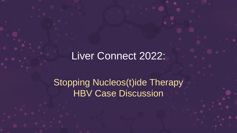## Liver Connect 2022:

Stopping Nucleos(t)ide Therapy HBV Case Discussion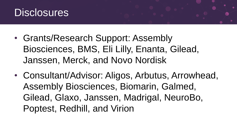

- Grants/Research Support: Assembly Biosciences, BMS, Eli Lilly, Enanta, Gilead, Janssen, Merck, and Novo Nordisk
- Consultant/Advisor: Aligos, Arbutus, Arrowhead, Assembly Biosciences, Biomarin, Galmed, Gilead, Glaxo, Janssen, Madrigal, NeuroBo, Poptest, Redhill, and Virion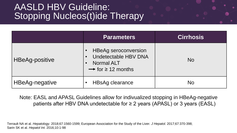## AASLD HBV Guideline: **Stopping Nucleos(t)ide Therapy**

|                | <b>Parameters</b>                                                                                              | <b>Cirrhosis</b> |
|----------------|----------------------------------------------------------------------------------------------------------------|------------------|
| HBeAg-positive | <b>HBeAg seroconversion</b><br>Undetectable HBV DNA<br><b>Normal ALT</b><br>$\rightarrow$ for $\geq$ 12 months | <b>No</b>        |
| HBeAg-negative | <b>HBsAg clearance</b>                                                                                         | <b>No</b>        |

Note: EASL and APASL Guidelines allow for indivualized stopping in HBeAg-negative patients after HBV DNA undetectable for ≥ 2 years (APASL) or 3 years (EASL)

Terrault NA et al. *Hepatology.* 2018;67:1560-1599; European Association for the Study of the Liver. *J Hepatol.* 2017;67:370-398; Sarin SK et al. *Hepatol Int*. 2016;10:1-98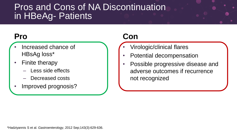## Pros and Cons of NA Discontinuation in HBeAg- Patients

## **Pro**

- Increased chance of HBsAg loss\*
- Finite therapy
	- Less side effects
	- Decreased costs
- Improved prognosis?

## **Con**

- Virologic/clinical flares
- Potential decompensation
- Possible progressive disease and adverse outcomes if recurrence not recognized

\*Hadziyannis S et al. *Gastroenterology*, 2012 Sep;143(3):629-636.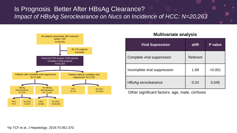#### Is Prognosis Better After HBsAg Clearance? *Impact of HBsAg Seroclearance on Nucs on Incidence of HCC: N=20,263*



#### **Multivariate analysis**

| <b>Viral Supression</b>      | <b>aHR</b> | P value |
|------------------------------|------------|---------|
| Complete viral suppression   | Referent   |         |
| Incomplete viral suppression | 1.69       | < 0.001 |
| HBsAg seroclearance          | 0.24       | 0.045   |

Other significant factors: age, male, cirrhosis

Yip TCF et al. *J Hepatology*. 2019;70:361-370.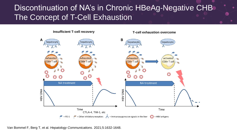## Discontinuation of NA's in Chronic HBeAg-Negative CHB The Concept of T-Cell Exhaustion



**Insufficient T-cell recovery T-cell exhaustion overcome**

Van Bommel F, Berg T, et al. *Hepatology Communications.* 2021;5:1632-1648.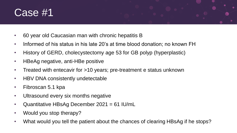# Case #1

- 60 year old Caucasian man with chronic hepatitis B
- Informed of his status in his late 20's at time blood donation; no known FH
- History of GERD, cholecystectomy age 53 for GB polyp (hyperplastic)
- HBeAg negative, anti-HBe positive
- Treated with entecavir for >10 years; pre-treatment e status unknown
- HBV DNA consistently undetectable
- Fibroscan 5.1 kpa
- Ultrasound every six months negative
- Quantitative HBsAg December 2021 = 61 IU/mL
- Would you stop therapy?
- What would you tell the patient about the chances of clearing HBsAg if he stops?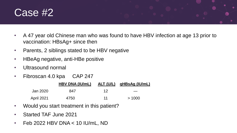## Case #2

- A 47 year old Chinese man who was found to have HBV infection at age 13 prior to vaccination: HBsAg+ since then
- Parents, 2 siblings stated to be HBV negative
- HBeAg negative, anti-HBe positive
- Ultrasound normal
- Fibroscan 4.0 kpa CAP 247

|                   | HBV DNA (IU/mL) |    | ALT (U/L) qHBsAg (IU/mL) |
|-------------------|-----------------|----|--------------------------|
| Jan 2020          | 847             | 12 |                          |
| <b>April 2021</b> | 4750            | 11 | >1000                    |

- Would you start treatment in this patient?
- Started TAF June 2021
- Feb 2022 HBV DNA < 10 IU/mL, ND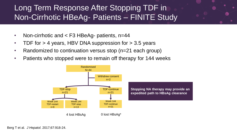## Long Term Response After Stopping TDF in Non-Cirrhotic HBeAg- Patients – FINITE Study

- Non-cirrhotic and < F3 HBeAg- patients, n=44
- TDF for > 4 years, HBV DNA suppression for > 3.5 years
- Randomized to continuation versus stop (n=21 each group)
- Patients who stopped were to remain off therapy for 144 weeks



Berg T et al. *J Hepatol.* 2017;67:918-24.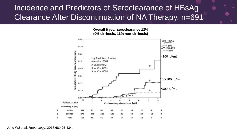## Incidence and Predictors of Seroclearance of HBsAg Clearance After Discontinuation of NA Therapy, n=691

**Overall 6 year seroclearance 13% (9% cirrhosis, 16% non-cirrhosis)**



Jeng WJ et al. *Hepatology*. 2018;68:425-434.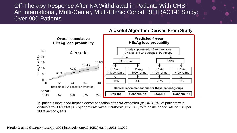Off-Therapy Response After NA Withdrawal in Patients With CHB: An International, Multi-Center, Multi-Ethnic Cohort RETRACT-B Study: Over 900 Patients



**A Useful Algorithm Derived From Study**

19 patients developed hepatic decompensation after NA cessation (8/184 [4.3%] of patients with cirrhosis vs. 11/1,368 [0.8%] of patients without cirrhosis,  $P < .001$  with an incidence rate of 0.48 per 1000 person-years.

Hirode G et al. *Gastroenterology*. 2021;https://doi.org/10.1053/j.gastro.2021.11.002.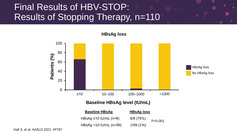## Final Results of HBV-STOP: Results of Stopping Therapy, n=110



**Baseline HBsAg level (IU/mL)**

| <b>Baseline HBsAg</b>       | <b>HBsAg loss</b> |           |  |
|-----------------------------|-------------------|-----------|--|
| HBsAg $\leq 10$ IU/mL (n=8) | 6/8(75%)          | P < 0.001 |  |
| HBsAg $>10$ IU/mL (n=99)    | 1/99(1%)          |           |  |

Hall S, et al. AASLD 2021. #P787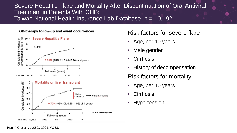#### Severe Hepatitis Flare and Mortality After Discontinuation of Oral Antiviral Treatment in Patients With CHB: Taiwan National Health Insurance Lab Database, n = 10,192

#### Off-therapy follow-up and event occurrences



#### Risk factors for severe flare

- Age, per 10 years
- Male gender
- Cirrhosis
- History of decompensation

Risk factors for mortality

- Age, per 10 years
- **Cirrhosis**
- **Hypertension**

Hsu Y-C et al. *AASLD*. 2021. #O23.